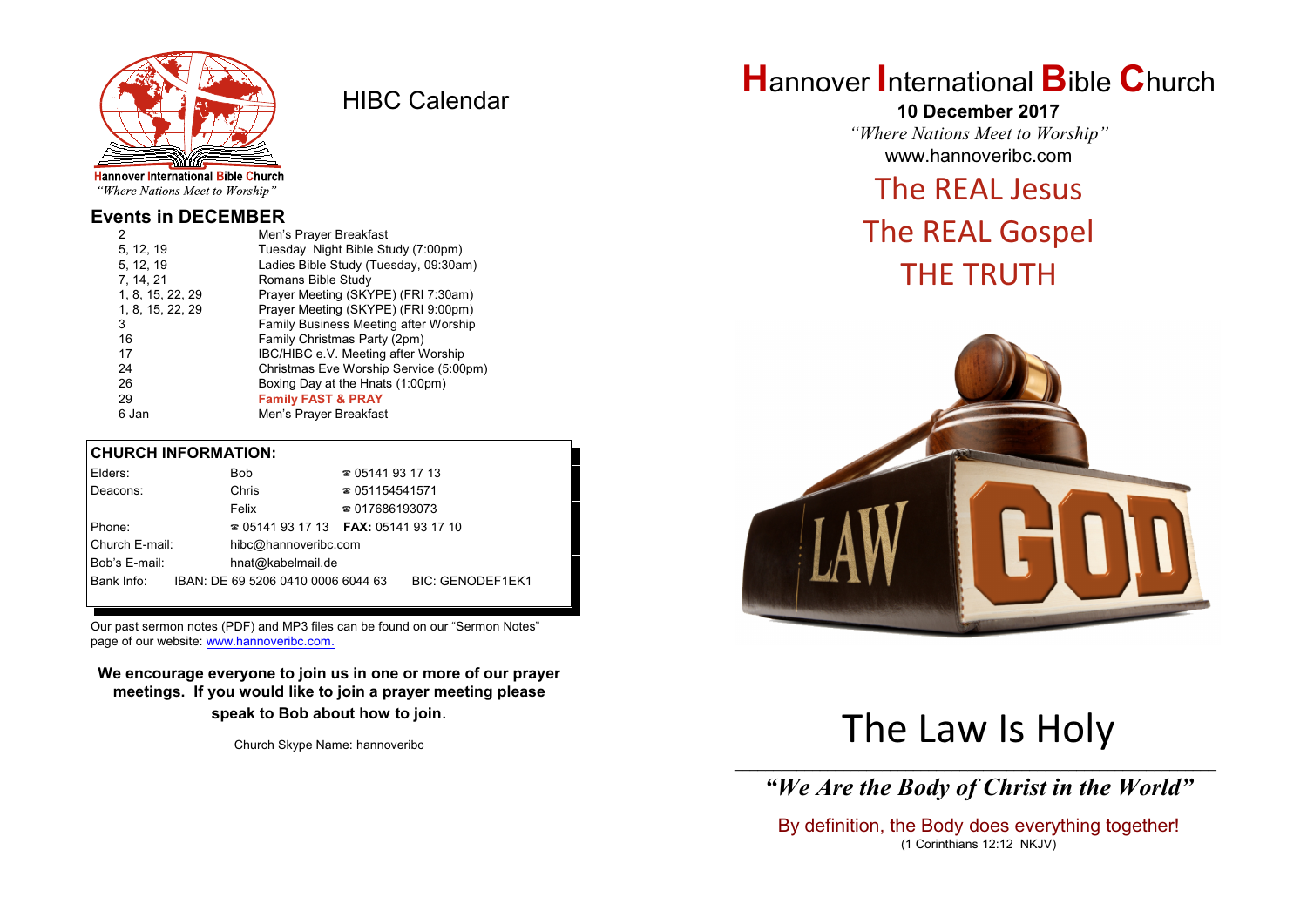

HIBC Calendar

"Where Nations Meet to Worship"

#### **Events in DECEMBER**

| 2                | Men's Prayer Breakfast                 |
|------------------|----------------------------------------|
| 5, 12, 19        | Tuesday Night Bible Study (7:00pm)     |
| 5, 12, 19        | Ladies Bible Study (Tuesday, 09:30am)  |
| 7, 14, 21        | Romans Bible Study                     |
| 1, 8, 15, 22, 29 | Prayer Meeting (SKYPE) (FRI 7:30am)    |
| 1, 8, 15, 22, 29 | Prayer Meeting (SKYPE) (FRI 9:00pm)    |
| 3                | Family Business Meeting after Worship  |
| 16               | Family Christmas Party (2pm)           |
| 17               | IBC/HIBC e.V. Meeting after Worship    |
| 24               | Christmas Eve Worship Service (5:00pm) |
| 26               | Boxing Day at the Hnats (1:00pm)       |
| 29               | <b>Family FAST &amp; PRAY</b>          |
| 6 Jan            | Men's Prayer Breakfast                 |
|                  |                                        |

#### **CHURCH INFORMATION:**

| Elders:        | Bob                                      | $\approx 05141931713$  |                         |
|----------------|------------------------------------------|------------------------|-------------------------|
| Deacons:       | Chris                                    | $\approx 051154541571$ |                         |
|                | Felix                                    | $\approx 017686193073$ |                         |
| Phone:         | $\approx 05141931713$ FAX: 0514193 17 10 |                        |                         |
| Church E-mail: | hibc@hannoveribc.com                     |                        |                         |
| Bob's E-mail:  | hnat@kabelmail.de                        |                        |                         |
| Bank Info:     | IBAN: DE 69 5206 0410 0006 6044 63       |                        | <b>BIC: GENODEF1EK1</b> |
|                |                                          |                        |                         |

Our past sermon notes (PDF) and MP3 files can be found on our "Sermon Notes" page of our website: [www.hannoveribc.com.](http://www.hannoveribc.com.)

**We encourage everyone to join us in one or more of our prayer meetings. If you would like to join a prayer meeting please speak to Bob about how to join**.

Church Skype Name: hannoveribc

### **H**annover **I**nternational **B**ible **C**hurch

**10 December 2017** *"Where Nations Meet to Worship"* www.hannoveribc.com

### The REAL Jesus

## The REAL Gospel THE TRUTH



# The Law Is Holy

\_\_\_\_\_\_\_\_\_\_\_\_\_\_\_\_\_\_\_\_\_\_\_\_\_\_\_\_\_\_\_\_\_\_\_\_\_\_\_\_\_\_\_\_\_\_\_\_\_\_\_\_\_\_\_\_\_\_\_\_\_\_ *"We Are the Body of Christ in the World"*

By definition, the Body does everything together! (1 Corinthians 12:12 NKJV)